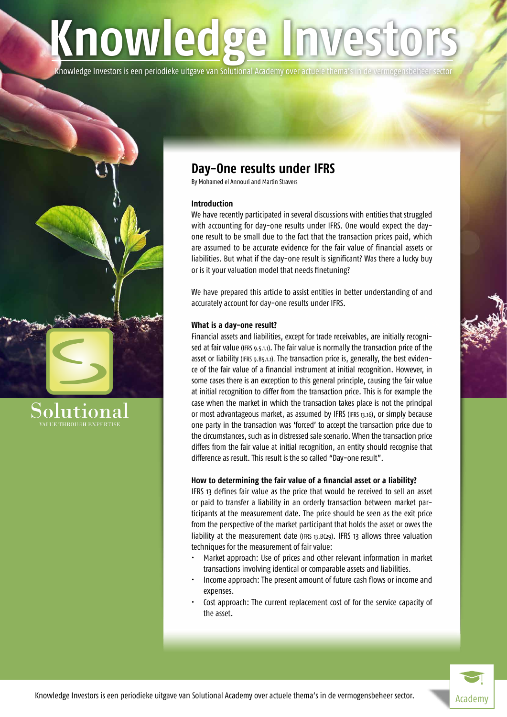# **Knowledge Inve**

Knowledge Investors is een periodieke uitgave van Solutional Academy over actuele thema's in de vermogensbeheer sector



lution

# **Day-One results under IFRS**

By Mohamed el Annouri and Martin Stravers

# **Introduction**

We have recently participated in several discussions with entities that struggled with accounting for day-one results under IFRS. One would expect the dayone result to be small due to the fact that the transaction prices paid, which are assumed to be accurate evidence for the fair value of financial assets or liabilities. But what if the day-one result is significant? Was there a lucky buy or is it your valuation model that needs finetuning?

We have prepared this article to assist entities in better understanding of and accurately account for day-one results under IFRS.

# **What is a day-one result?**

Financial assets and liabilities, except for trade receivables, are initially recognised at fair value (IFRS 9.5.1.1). The fair value is normally the transaction price of the asset or liability (IFRS 9.B5.1.1). The transaction price is, generally, the best evidence of the fair value of a financial instrument at initial recognition. However, in some cases there is an exception to this general principle, causing the fair value at initial recognition to differ from the transaction price. This is for example the case when the market in which the transaction takes place is not the principal or most advantageous market, as assumed by IFRS (IFRS 13.16), or simply because one party in the transaction was 'forced' to accept the transaction price due to the circumstances, such as in distressed sale scenario. When the transaction price differs from the fair value at initial recognition, an entity should recognise that difference as result. This result is the so called "Day-one result".

# **How to determining the fair value of a financial asset or a liability?**

IFRS 13 defines fair value as the price that would be received to sell an asset or paid to transfer a liability in an orderly transaction between market participants at the measurement date. The price should be seen as the exit price from the perspective of the market participant that holds the asset or owes the liability at the measurement date (IFRS 13.BC29). IFRS 13 allows three valuation techniques for the measurement of fair value:

- Market approach: Use of prices and other relevant information in market transactions involving identical or comparable assets and liabilities.
- Income approach: The present amount of future cash flows or income and expenses.
- Cost approach: The current replacement cost of for the service capacity of the asset.

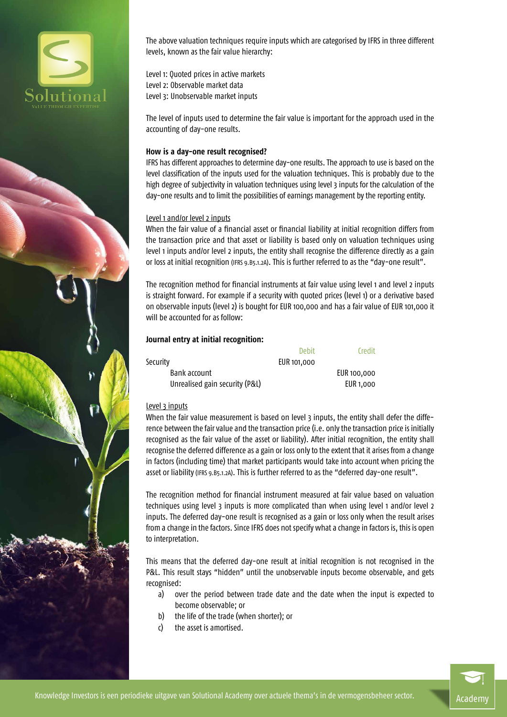

The above valuation techniques require inputs which are categorised by IFRS in three different levels, known as the fair value hierarchy:

Level 1: Quoted prices in active markets Level 2: Observable market data Level 3: Unobservable market inputs

The level of inputs used to determine the fair value is important for the approach used in the accounting of day-one results.

# **How is a day-one result recognised?**

IFRS has different approaches to determine day-one results. The approach to use is based on the level classification of the inputs used for the valuation techniques. This is probably due to the high degree of subjectivity in valuation techniques using level 3 inputs for the calculation of the day-one results and to limit the possibilities of earnings management by the reporting entity.

# Level 1 and/or level 2 inputs

When the fair value of a financial asset or financial liability at initial recognition differs from the transaction price and that asset or liability is based only on valuation techniques using level 1 inputs and/or level 2 inputs, the entity shall recognise the difference directly as a gain or loss at initial recognition (IFRS 9.B5.1.2A). This is further referred to as the "day-one result".

The recognition method for financial instruments at fair value using level 1 and level 2 inputs is straight forward. For example if a security with quoted prices (level 1) or a derivative based on observable inputs (level 2) is bought for EUR 100,000 and has a fair value of EUR 101,000 it will be accounted for as follow:

# **Journal entry at initial recognition:**

|                                | <b>Debit</b> | Credit      |
|--------------------------------|--------------|-------------|
| Security                       | EUR 101,000  |             |
| Bank account                   |              | EUR 100,000 |
| Unrealised gain security (P&L) |              | EUR 1.000   |

# Level 3 inputs

When the fair value measurement is based on level 3 inputs, the entity shall defer the difference between the fair value and the transaction price (i.e. only the transaction price is initially recognised as the fair value of the asset or liability). After initial recognition, the entity shall recognise the deferred difference as a gain or loss only to the extent that it arises from a change in factors (including time) that market participants would take into account when pricing the asset or liability (IFRS 9.B5.1.2A). This is further referred to as the "deferred day-one result".

The recognition method for financial instrument measured at fair value based on valuation techniques using level 3 inputs is more complicated than when using level 1 and/or level 2 inputs. The deferred day-one result is recognised as a gain or loss only when the result arises from a change in the factors. Since IFRS does not specify what a change in factors is, this is open to interpretation.

This means that the deferred day-one result at initial recognition is not recognised in the P&L. This result stays "hidden" until the unobservable inputs become observable, and gets recognised:

- a) over the period between trade date and the date when the input is expected to become observable; or
- b) the life of the trade (when shorter); or
- c) the asset is amortised.

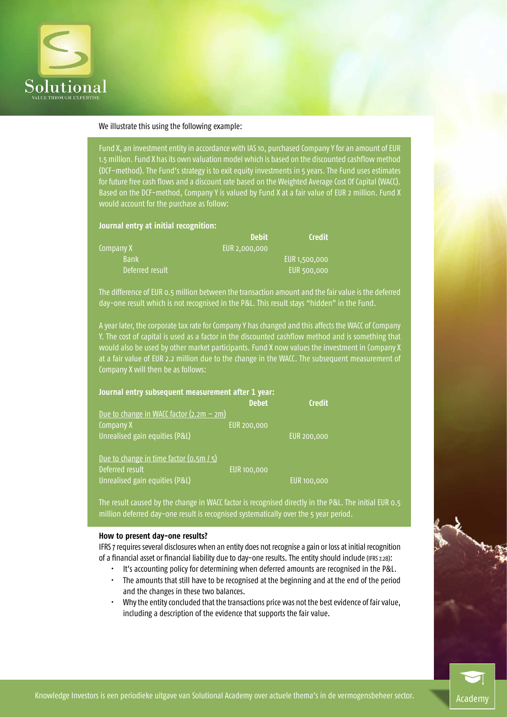

#### We illustrate this using the following example:

Fund X, an investment entity in accordance with IAS 10, purchased Company Y for an amount of EUR 1.5 million. Fund X has its own valuation model which is based on the discounted cashflow method (DCF-method). The Fund's strategy is to exit equity investments in 5 years. The Fund uses estimates for future free cash flows and a discount rate based on the Weighted Average Cost Of Capital (WACC). Based on the DCF-method, Company Y is valued by Fund X at a fair value of EUR 2 million. Fund X would account for the purchase as follow:

#### **Journal entry at initial recognition:**

|                 | <b>Debit</b>  | <b>Credit</b> |
|-----------------|---------------|---------------|
| Company X       | EUR 2.000.000 |               |
| <b>Bank</b>     |               | EUR 1,500,000 |
| Deferred result |               | EUR 500,000   |

The difference of EUR 0.5 million between the transaction amount and the fair value is the deferred day-one result which is not recognised in the P&L. This result stays "hidden" in the Fund.

A year later, the corporate tax rate for Company Y has changed and this affects the WACC of Company Y. The cost of capital is used as a factor in the discounted cashflow method and is something that would also be used by other market participants. Fund X now values the investment in Company X at a fair value of EUR 2.2 million due to the change in the WACC. The subsequent measurement of Company X will then be as follows:

| Journal entry subsequent measurement after 1 year: |                    |                    |  |  |
|----------------------------------------------------|--------------------|--------------------|--|--|
|                                                    | <b>Debet</b>       | <b>Credit</b>      |  |  |
| Due to change in WACC factor $(2.2m - 2m)$         |                    |                    |  |  |
| Company X                                          | <b>EUR 200,000</b> |                    |  |  |
| Unrealised gain equities (P&L)                     |                    | EUR 200,000        |  |  |
| Due to change in time factor $(0.5m/5)$            |                    |                    |  |  |
| Deferred result                                    | <b>EUR 100,000</b> |                    |  |  |
| Unrealised gain equities (P&L)                     |                    | <b>EUR</b> 100,000 |  |  |

The result caused by the change in WACC factor is recognised directly in the P&L. The initial EUR 0.5 million deferred day-one result is recognised systematically over the 5 year period.

#### **How to present day-one results?**

IFRS 7 requires several disclosures when an entity does not recognise a gain or loss at initial recognition of a financial asset or financial liability due to day-one results. The entity should include (IFRS 7.28):

- It's accounting policy for determining when deferred amounts are recognised in the P&L.
- The amounts that still have to be recognised at the beginning and at the end of the period and the changes in these two balances.
- Why the entity concluded that the transactions price was not the best evidence of fair value, including a description of the evidence that supports the fair value.